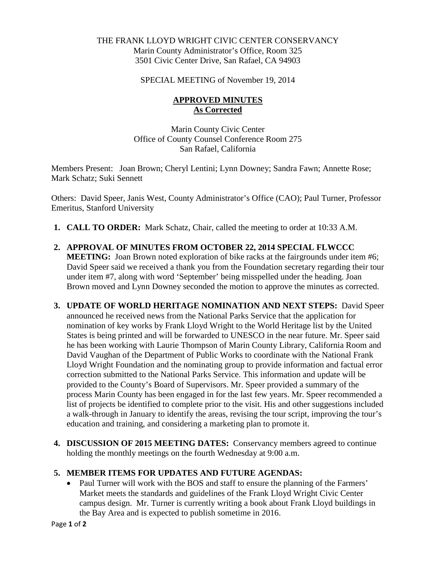## THE FRANK LLOYD WRIGHT CIVIC CENTER CONSERVANCY Marin County Administrator's Office, Room 325 3501 Civic Center Drive, San Rafael, CA 94903

#### SPECIAL MEETING of November 19, 2014

# **APPROVED MINUTES As Corrected**

Marin County Civic Center Office of County Counsel Conference Room 275 San Rafael, California

Members Present: Joan Brown; Cheryl Lentini; Lynn Downey; Sandra Fawn; Annette Rose; Mark Schatz; Suki Sennett

Others: David Speer, Janis West, County Administrator's Office (CAO); Paul Turner, Professor Emeritus, Stanford University

- **1. CALL TO ORDER:** Mark Schatz, Chair, called the meeting to order at 10:33 A.M.
- **2. APPROVAL OF MINUTES FROM OCTOBER 22, 2014 SPECIAL FLWCCC MEETING:** Joan Brown noted exploration of bike racks at the fairgrounds under item #6; David Speer said we received a thank you from the Foundation secretary regarding their tour under item #7, along with word 'September' being misspelled under the heading. Joan Brown moved and Lynn Downey seconded the motion to approve the minutes as corrected.
- **3. UPDATE OF WORLD HERITAGE NOMINATION AND NEXT STEPS:** David Speer announced he received news from the National Parks Service that the application for nomination of key works by Frank Lloyd Wright to the World Heritage list by the United States is being printed and will be forwarded to UNESCO in the near future. Mr. Speer said he has been working with Laurie Thompson of Marin County Library, California Room and David Vaughan of the Department of Public Works to coordinate with the National Frank Lloyd Wright Foundation and the nominating group to provide information and factual error correction submitted to the National Parks Service. This information and update will be provided to the County's Board of Supervisors. Mr. Speer provided a summary of the process Marin County has been engaged in for the last few years. Mr. Speer recommended a list of projects be identified to complete prior to the visit. His and other suggestions included a walk-through in January to identify the areas, revising the tour script, improving the tour's education and training, and considering a marketing plan to promote it.
- **4. DISCUSSION OF 2015 MEETING DATES:** Conservancy members agreed to continue holding the monthly meetings on the fourth Wednesday at 9:00 a.m.

## **5. MEMBER ITEMS FOR UPDATES AND FUTURE AGENDAS:**

• Paul Turner will work with the BOS and staff to ensure the planning of the Farmers' Market meets the standards and guidelines of the Frank Lloyd Wright Civic Center campus design. Mr. Turner is currently writing a book about Frank Lloyd buildings in the Bay Area and is expected to publish sometime in 2016.